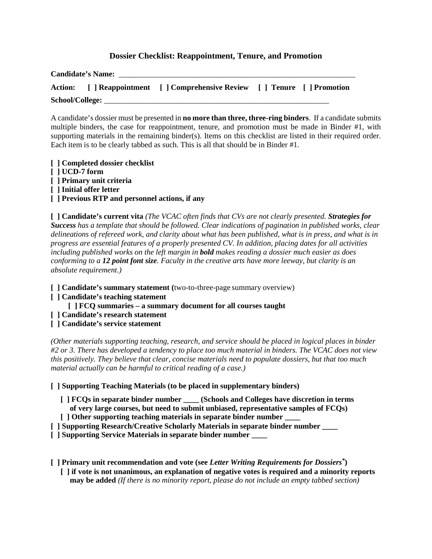## **Dossier Checklist: Reappointment, Tenure, and Promotion**

| <b>Candidate's Name:</b> |  |                                                                             |  |  |
|--------------------------|--|-----------------------------------------------------------------------------|--|--|
|                          |  | Action: [ ] Reappointment [ ] Comprehensive Review [ ] Tenure [ ] Promotion |  |  |
| School/College:          |  |                                                                             |  |  |

A candidate's dossier must be presented in **no more than three, three-ring binders**. If a candidate submits multiple binders, the case for reappointment, tenure, and promotion must be made in Binder #1, with supporting materials in the remaining binder(s). Items on this checklist are listed in their required order. Each item is to be clearly tabbed as such. This is all that should be in Binder #1.

**[ ] Completed dossier checklist [ ] UCD-7 form [ ] Primary unit criteria [ ] Initial offer letter [ ] Previous RTP and personnel actions, if any**

**[ ] Candidate's current vita** *(The VCAC often finds that CVs are not clearly presented. Strategies for Success has a template that should be followed. Clear indications of pagination in published works, clear delineations of refereed work, and clarity about what has been published, what is in press, and what is in progress are essential features of a properly presented CV. In addition, placing dates for all activities including published works on the left margin in bold makes reading a dossier much easier as does conforming to a 12 point font size. Faculty in the creative arts have more leeway, but clarity is an absolute requirement.)*

- **[ ] Candidate's summary statement (**two-to-three-page summary overview)
- **[ ] Candidate's teaching statement**
	- **[ ] FCQ summaries – a summary document for all courses taught**
- **[ ] Candidate's research statement**
- **[ ] Candidate's service statement**

*(Other materials supporting teaching, research, and service should be placed in logical places in binder #2 or 3. There has developed a tendency to place too much material in binders. The VCAC does not view this positively. They believe that clear, concise materials need to populate dossiers, but that too much material actually can be harmful to critical reading of a case.)*

### **[ ] Supporting Teaching Materials (to be placed in supplementary binders)**

- **[ ] FCQs in separate binder number \_\_\_\_ (Schools and Colleges have discretion in terms**
- **of very large courses, but need to submit unbiased, representative samples of FCQs)**
- *[***] Other supporting teaching materials in separate binder number**
- **[ ] Supporting Research/Creative Scholarly Materials in separate binder number \_\_\_\_**
- **[ ] Supporting Service Materials in separate binder number \_\_\_\_**

**[ ] Primary unit recommendation and vote (see** *Letter Writing Requirements for Dossiers\****)**

 **[ ] if vote is not unanimous, an explanation of negative votes is required and a minority reports may be added** *(If there is no minority report, please do not include an empty tabbed section)*